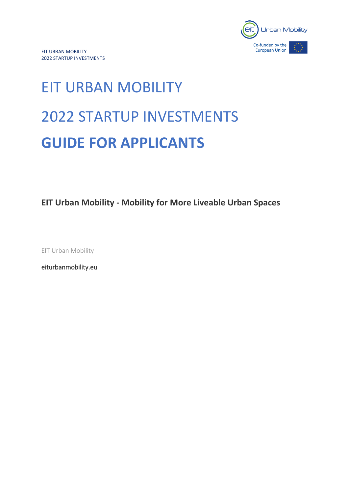

# EIT URBAN MOBILITY 2022 STARTUP INVESTMENTS **GUIDE FOR APPLICANTS**

**EIT Urban Mobility - Mobility for More Liveable Urban Spaces**

EIT Urban Mobility

[eiturbanmobility.eu](http://www.eiturbanmobility.eu/)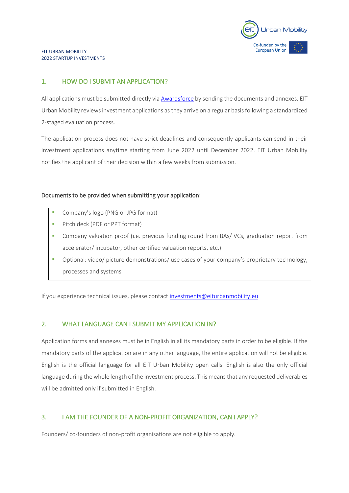

#### EIT URBAN MOBILITY 2022 STARTUP INVESTMENTS

#### 1. HOW DO I SUBMIT AN APPLICATION?

All applications must be submitted directly vi[a Awardsforce](https://eiturbanmobility.awardsplatform.com/) by sending the documents and annexes. EIT Urban Mobility reviews investment applications as they arrive on a regular basis following a standardized 2-staged evaluation process.

The application process does not have strict deadlines and consequently applicants can send in their investment applications anytime starting from June 2022 until December 2022. EIT Urban Mobility notifies the applicant of their decision within a few weeks from submission.

#### Documents to be provided when submitting your application:

- Company's logo (PNG or JPG format)
- Pitch deck (PDF or PPT format)
- Company valuation proof (i.e. previous funding round from BAs/ VCs, graduation report from accelerator/ incubator, other certified valuation reports, etc.)
- Optional: video/ picture demonstrations/ use cases of your company's proprietary technology, processes and systems

If you experience technical issues, please contact [investments@eiturbanmobility.eu](mailto:investments@eiturbanmobility.eu)

#### 2. WHAT LANGUAGE CAN I SUBMIT MY APPLICATION IN?

Application forms and annexes must be in English in all its mandatory parts in order to be eligible. If the mandatory parts of the application are in any other language, the entire application will not be eligible. English is the official language for all EIT Urban Mobility open calls. English is also the only official language during the whole length of the investment process. This means that any requested deliverables will be admitted only if submitted in English.

#### 3. I AM THE FOUNDER OF A NON-PROFIT ORGANIZATION, CAN I APPLY?

Founders/ co-founders of non-profit organisations are not eligible to apply.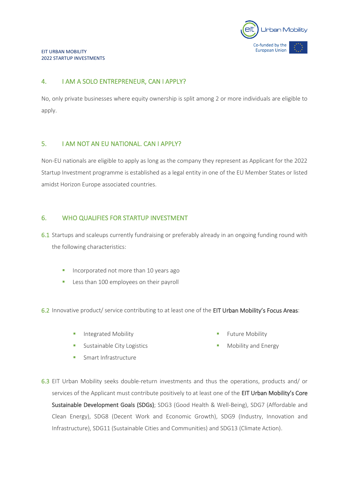

## 4. I AM A SOLO ENTREPRENEUR, CAN I APPLY?

No, only private businesses where equity ownership is split among 2 or more individuals are eligible to apply.

#### 5. I AM NOT AN EU NATIONAL. CAN I APPLY?

Non-EU nationals are eligible to apply as long as the company they represent as Applicant for the 2022 Startup Investment programme is established as a legal entity in one of the EU Member States or listed amidst Horizon Europe associated countries.

#### 6. WHO QUALIFIES FOR STARTUP INVESTMENT

6.1 Startups and scaleups currently fundraising or preferably already in an ongoing funding round with the following characteristics:

- **·** Incorporated not more than 10 years ago
- **EXELLENGE 100 EMPLOYEES ON THEIT PAYROLL**

6.2 Innovative product/ service contributing to at least one of the EIT Urban Mobility's Focus Areas:

**·** Integrated Mobility

**Future Mobility** 

- **EXECUTE:** Sustainable City Logistics
- **·** Smart Infrastructure
- Mobility and Energy
- 6.3 EIT Urban Mobility seeks double-return investments and thus the operations, products and/ or services of the Applicant must contribute positively to at least one of the EIT Urban Mobility's Core [Sustainable Development Goals](https://ec.europa.eu/info/sites/info/files/sdgs_web1_0.png) (SDGs); SDG3 (Good Health & Well-Being), SDG7 (Affordable and Clean Energy), SDG8 (Decent Work and Economic Growth), SDG9 (Industry, Innovation and Infrastructure), SDG11 (Sustainable Cities and Communities) and SDG13 (Climate Action).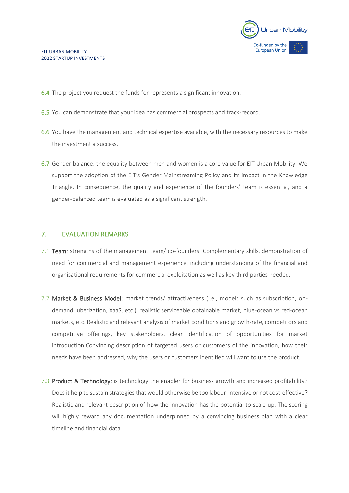

- 6.4 The project you request the funds for represents a significant innovation.
- 6.5 You can demonstrate that your idea has commercial prospects and track-record.
- 6.6 You have the management and technical expertise available, with the necessary resources to make the investment a success.
- 6.7 Gender balance: the equality between men and women is a core value for EIT Urban Mobility. We support the adoption of the EIT's Gender Mainstreaming Policy and its impact in the Knowledge Triangle. In consequence, the quality and experience of the founders' team is essential, and a gender-balanced team is evaluated as a significant strength.

#### 7. EVALUATION REMARKS

- 7.1 Team: strengths of the management team/ co-founders. Complementary skills, demonstration of need for commercial and management experience, including understanding of the financial and organisational requirements for commercial exploitation as well as key third parties needed.
- 7.2 Market & Business Model: market trends/ attractiveness (i.e., models such as subscription, ondemand, uberization, XaaS, etc.), realistic serviceable obtainable market, blue-ocean vs red-ocean markets, etc. Realistic and relevant analysis of market conditions and growth-rate, competitors and competitive offerings, key stakeholders, clear identification of opportunities for market introduction.Convincing description of targeted users or customers of the innovation, how their needs have been addressed, why the users or customers identified will want to use the product.
- 7.3 Product & Technology: is technology the enabler for business growth and increased profitability? Does it help to sustain strategies that would otherwise be too labour-intensive or not cost-effective? Realistic and relevant description of how the innovation has the potential to scale-up. The scoring will highly reward any documentation underpinned by a convincing business plan with a clear timeline and financial data.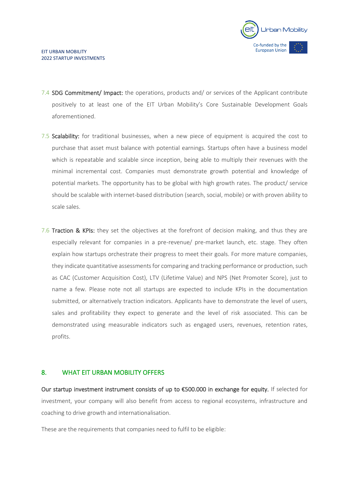

- 7.4 SDG Commitment/ Impact: the operations, products and/ or services of the Applicant contribute positively to at least one of the EIT Urban Mobility's [Core S](https://ec.europa.eu/info/sites/info/files/sdgs_web1_0.png)ustainable Development Goals aforementioned.
- 7.5 Scalability: for traditional businesses, when a new piece of equipment is acquired the cost to purchase that asset must balance with potential earnings. Startups often have a business model which is repeatable and scalable since inception, being able to multiply their revenues with the minimal incremental cost. Companies must demonstrate growth potential and knowledge of potential markets. The opportunity has to be global with high growth rates. The product/ service should be scalable with internet-based distribution (search, social, mobile) or with proven ability to scale sales.
- 7.6 Traction & KPIs: they set the objectives at the forefront of decision making, and thus they are especially relevant for companies in a pre-revenue/ pre-market launch, etc. stage. They often explain how startups orchestrate their progress to meet their goals. For more mature companies, they indicate quantitative assessments for comparing and tracking performance or production, such as CAC (Customer Acquisition Cost), LTV (Lifetime Value) and NPS (Net Promoter Score), just to name a few. Please note not all startups are expected to include KPIs in the documentation submitted, or alternatively traction indicators. Applicants have to demonstrate the level of users, sales and profitability they expect to generate and the level of risk associated. This can be demonstrated using measurable indicators such as engaged users, revenues, retention rates, profits.

#### 8. WHAT EIT URBAN MOBILITY OFFERS

Our startup investment instrument consists of up to €500.000 in exchange for equity. If selected for investment, your company will also benefit from access to regional ecosystems, infrastructure and coaching to drive growth and internationalisation.

These are the requirements that companies need to fulfil to be eligible: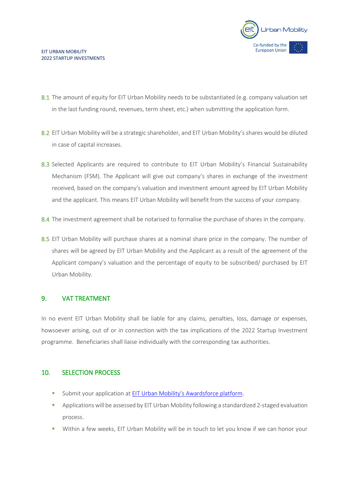

- 8.1 The amount of equity for EIT Urban Mobility needs to be substantiated (e.g. company valuation set in the last funding round, revenues, term sheet, etc.) when submitting the application form.
- 8.2 EIT Urban Mobility will be a strategic shareholder, and EIT Urban Mobility's shares would be diluted in case of capital increases.
- 8.3 Selected Applicants are required to contribute to EIT Urban Mobility's Financial Sustainability Mechanism (FSM). The Applicant will give out company's shares in exchange of the investment received, based on the company's valuation and investment amount agreed by EIT Urban Mobility and the applicant. This means EIT Urban Mobility will benefit from the success of your company.
- 8.4 The investment agreement shall be notarised to formalise the purchase of shares in the company.
- 8.5 EIT Urban Mobility will purchase shares at a nominal share price in the company. The number of shares will be agreed by EIT Urban Mobility and the Applicant as a result of the agreement of the Applicant company's valuation and the percentage of equity to be subscribed/ purchased by EIT Urban Mobility.

#### 9. VAT TREATMENT

In no event EIT Urban Mobility shall be liable for any claims, penalties, loss, damage or expenses, howsoever arising, out of or in connection with the tax implications of the 2022 Startup Investment programme. Beneficiaries shall liaise individually with the corresponding tax authorities.

#### 10. SELECTION PROCESS

- **EXECT** Submit your application at EIT Urban Mobility's [Awardsforce platform.](https://eiturbanmobility.awardsplatform.com/)
- **•** Applications will be assessed by EIT Urban Mobility following a standardized 2-staged evaluation process.
- **.** Within a few weeks, EIT Urban Mobility will be in touch to let you know if we can honor your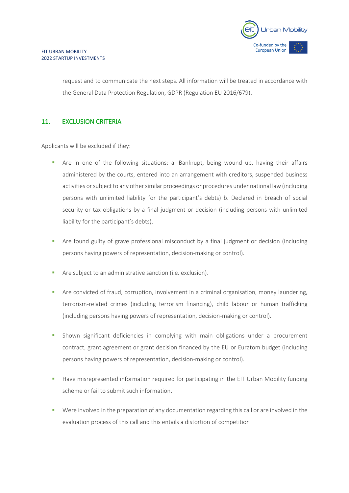

request and to communicate the next steps. All information will be treated in accordance with the General Data Protection Regulation, GDPR (Regulation EU 2016/679).

#### 11. EXCLUSION CRITERIA

Applicants will be excluded if they:

- **•** Are in one of the following situations: a. Bankrupt, being wound up, having their affairs administered by the courts, entered into an arrangement with creditors, suspended business activities or subject to any other similar proceedings or procedures under national law (including persons with unlimited liability for the participant's debts) b. Declared in breach of social security or tax obligations by a final judgment or decision (including persons with unlimited liability for the participant's debts).
- **•** Are found guilty of grave professional misconduct by a final judgment or decision (including persons having powers of representation, decision-making or control).
- Are subject to an administrative sanction (i.e. exclusion).
- **•** Are convicted of fraud, corruption, involvement in a criminal organisation, money laundering, terrorism-related crimes (including terrorism financing), child labour or human trafficking (including persons having powers of representation, decision-making or control).
- **·** Shown significant deficiencies in complying with main obligations under a procurement contract, grant agreement or grant decision financed by the EU or Euratom budget (including persons having powers of representation, decision-making or control).
- **■** Have misrepresented information required for participating in the EIT Urban Mobility funding scheme or fail to submit such information.
- **•** Were involved in the preparation of any documentation regarding this call or are involved in the evaluation process of this call and this entails a distortion of competition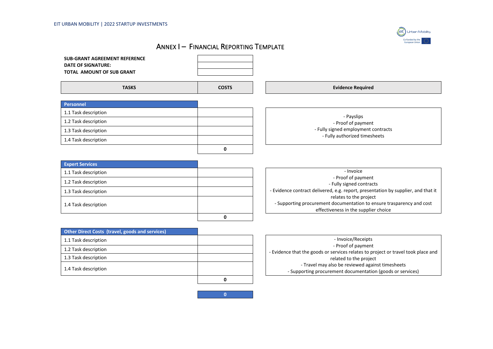

# ANNEX I – FINANCIAL REPORTING TEMPLATE

**0**



| <b>Other Direct Costs (travel, goods and services)</b> |                                                                           |
|--------------------------------------------------------|---------------------------------------------------------------------------|
| 1.1 Task description                                   | - Invoice/Receipts                                                        |
| 1.2 Task description                                   | - Proof of paymen<br>- Evidence that the goods or services relates to p   |
| 1.3 Task description                                   | related to the proje                                                      |
| 1.4 Task description                                   | - Travel may also be reviewed aga<br>- Supporting procurement documentati |
|                                                        |                                                                           |

| - Invoice/Receipts                                                                |  |
|-----------------------------------------------------------------------------------|--|
| - Proof of payment                                                                |  |
| - Evidence that the goods or services relates to project or travel took place and |  |
| related to the project                                                            |  |
| - Travel may also be reviewed against timesheets                                  |  |
| - Supporting procurement documentation (goods or services)                        |  |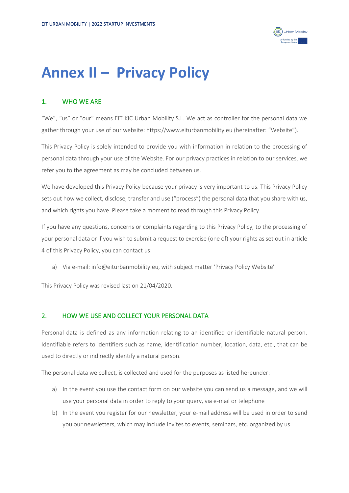

# **Annex II – Privacy Policy**

## 1. WHO WE ARE

"We", "us" or "our" means EIT KIC Urban Mobility S.L. We act as controller for the personal data we gather through your use of our website: https://www.eiturbanmobility.eu (hereinafter: "Website").

This Privacy Policy is solely intended to provide you with information in relation to the processing of personal data through your use of the Website. For our privacy practices in relation to our services, we refer you to the agreement as may be concluded between us.

We have developed this Privacy Policy because your privacy is very important to us. This Privacy Policy sets out how we collect, disclose, transfer and use ("process") the personal data that you share with us, and which rights you have. Please take a moment to read through this Privacy Policy.

If you have any questions, concerns or complaints regarding to this Privacy Policy, to the processing of your personal data or if you wish to submit a request to exercise (one of) your rights as set out in article 4 of this Privacy Policy, you can contact us:

a) Via e-mail: info@eiturbanmobility.eu, with subject matter 'Privacy Policy Website'

This Privacy Policy was revised last on 21/04/2020.

#### 2. HOW WE USE AND COLLECT YOUR PERSONAL DATA

Personal data is defined as any information relating to an identified or identifiable natural person. Identifiable refers to identifiers such as name, identification number, location, data, etc., that can be used to directly or indirectly identify a natural person.

The personal data we collect, is collected and used for the purposes as listed hereunder:

- a) In the event you use the contact form on our website you can send us a message, and we will use your personal data in order to reply to your query, via e-mail or telephone
- b) In the event you register for our newsletter, your e-mail address will be used in order to send you our newsletters, which may include invites to events, seminars, etc. organized by us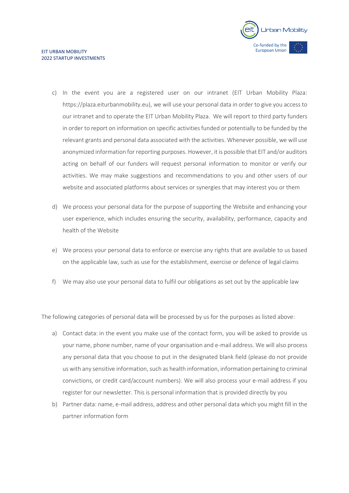

- c) In the event you are a registered user on our intranet (EIT Urban Mobility Plaza: https://plaza.eiturbanmobility.eu), we will use your personal data in order to give you access to our intranet and to operate the EIT Urban Mobility Plaza. We will report to third party funders in order to report on information on specific activities funded or potentially to be funded by the relevant grants and personal data associated with the activities. Whenever possible, we will use anonymized information for reporting purposes. However, it is possible that EIT and/or auditors acting on behalf of our funders will request personal information to monitor or verify our activities. We may make suggestions and recommendations to you and other users of our website and associated platforms about services or synergies that may interest you or them
- d) We process your personal data for the purpose of supporting the Website and enhancing your user experience, which includes ensuring the security, availability, performance, capacity and health of the Website
- e) We process your personal data to enforce or exercise any rights that are available to us based on the applicable law, such as use for the establishment, exercise or defence of legal claims
- f) We may also use your personal data to fulfil our obligations as set out by the applicable law

The following categories of personal data will be processed by us for the purposes as listed above:

- a) Contact data: in the event you make use of the contact form, you will be asked to provide us your name, phone number, name of your organisation and e-mail address. We will also process any personal data that you choose to put in the designated blank field (please do not provide us with any sensitive information, such as health information, information pertaining to criminal convictions, or credit card/account numbers). We will also process your e-mail address if you register for our newsletter. This is personal information that is provided directly by you
- b) Partner data: name, e-mail address, address and other personal data which you might fill in the partner information form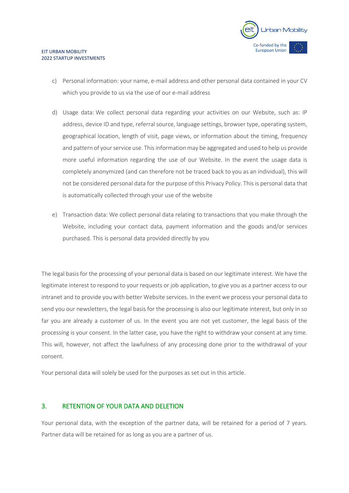

- c) Personal information: your name, e-mail address and other personal data contained in your CV which you provide to us via the use of our e-mail address
- d) Usage data: We collect personal data regarding your activities on our Website, such as: IP address, device ID and type, referral source, language settings, browser type, operating system, geographical location, length of visit, page views, or information about the timing, frequency and pattern of your service use. This information may be aggregated and used to help us provide more useful information regarding the use of our Website. In the event the usage data is completely anonymized (and can therefore not be traced back to you as an individual), this will not be considered personal data for the purpose of this Privacy Policy. This is personal data that is automatically collected through your use of the website
- e) Transaction data: We collect personal data relating to transactions that you make through the Website, including your contact data, payment information and the goods and/or services purchased. This is personal data provided directly by you

The legal basis for the processing of your personal data is based on our legitimate interest. We have the legitimate interest to respond to your requests or job application, to give you as a partner access to our intranet and to provide you with better Website services. In the event we process your personal data to send you our newsletters, the legal basis for the processing is also our legitimate interest, but only in so far you are already a customer of us. In the event you are not yet customer, the legal basis of the processing is your consent. In the latter case, you have the right to withdraw your consent at any time. This will, however, not affect the lawfulness of any processing done prior to the withdrawal of your consent.

Your personal data will solely be used for the purposes as set out in this article.

#### 3. RETENTION OF YOUR DATA AND DELETION

Your personal data, with the exception of the partner data, will be retained for a period of 7 years. Partner data will be retained for as long as you are a partner of us.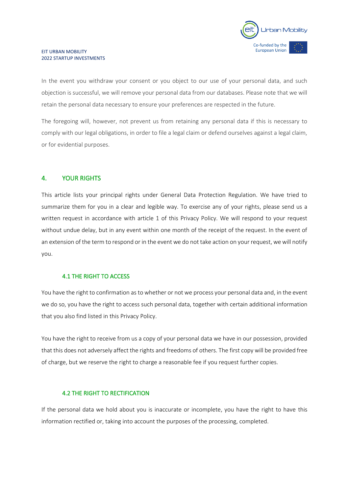

#### EIT URBAN MOBILITY 2022 STARTUP INVESTMENTS

In the event you withdraw your consent or you object to our use of your personal data, and such objection is successful, we will remove your personal data from our databases. Please note that we will retain the personal data necessary to ensure your preferences are respected in the future.

The foregoing will, however, not prevent us from retaining any personal data if this is necessary to comply with our legal obligations, in order to file a legal claim or defend ourselves against a legal claim, or for evidential purposes.

#### 4. YOUR RIGHTS

This article lists your principal rights under General Data Protection Regulation. We have tried to summarize them for you in a clear and legible way. To exercise any of your rights, please send us a written request in accordance with article 1 of this Privacy Policy. We will respond to your request without undue delay, but in any event within one month of the receipt of the request. In the event of an extension of the term to respond or in the event we do not take action on your request, we will notify you.

#### 4.1 THE RIGHT TO ACCESS

You have the right to confirmation as to whether or not we process your personal data and, in the event we do so, you have the right to access such personal data, together with certain additional information that you also find listed in this Privacy Policy.

You have the right to receive from us a copy of your personal data we have in our possession, provided that this does not adversely affect the rights and freedoms of others. The first copy will be provided free of charge, but we reserve the right to charge a reasonable fee if you request further copies.

#### 4.2 THE RIGHT TO RECTIFICATION

If the personal data we hold about you is inaccurate or incomplete, you have the right to have this information rectified or, taking into account the purposes of the processing, completed.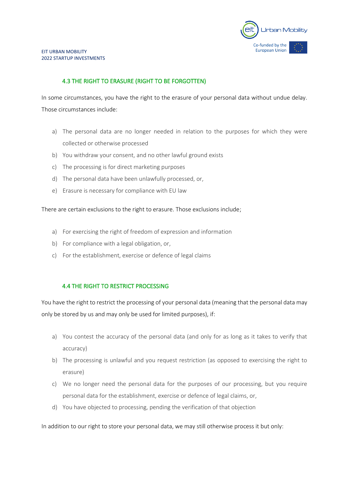

#### 4.3 THE RIGHT TO ERASURE (RIGHT TO BE FORGOTTEN)

In some circumstances, you have the right to the erasure of your personal data without undue delay. Those circumstances include:

- a) The personal data are no longer needed in relation to the purposes for which they were collected or otherwise processed
- b) You withdraw your consent, and no other lawful ground exists
- c) The processing is for direct marketing purposes
- d) The personal data have been unlawfully processed, or,
- e) Erasure is necessary for compliance with EU law

There are certain exclusions to the right to erasure. Those exclusions include;

- a) For exercising the right of freedom of expression and information
- b) For compliance with a legal obligation, or,
- c) For the establishment, exercise or defence of legal claims

#### 4.4 THE RIGHT TO RESTRICT PROCESSING

You have the right to restrict the processing of your personal data (meaning that the personal data may only be stored by us and may only be used for limited purposes), if:

- a) You contest the accuracy of the personal data (and only for as long as it takes to verify that accuracy)
- b) The processing is unlawful and you request restriction (as opposed to exercising the right to erasure)
- c) We no longer need the personal data for the purposes of our processing, but you require personal data for the establishment, exercise or defence of legal claims, or,
- d) You have objected to processing, pending the verification of that objection

In addition to our right to store your personal data, we may still otherwise process it but only: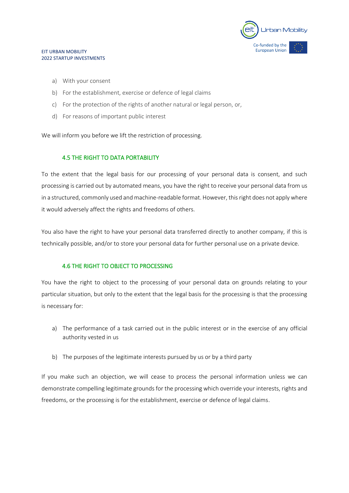

#### EIT URBAN MOBILITY 2022 STARTUP INVESTMENTS

- a) With your consent
- b) For the establishment, exercise or defence of legal claims
- c) For the protection of the rights of another natural or legal person, or,
- d) For reasons of important public interest

We will inform you before we lift the restriction of processing.

#### 4.5 THE RIGHT TO DATA PORTABILITY

To the extent that the legal basis for our processing of your personal data is consent, and such processing is carried out by automated means, you have the right to receive your personal data from us in a structured, commonly used and machine-readable format. However, this right does not apply where it would adversely affect the rights and freedoms of others.

You also have the right to have your personal data transferred directly to another company, if this is technically possible, and/or to store your personal data for further personal use on a private device.

#### 4.6 THE RIGHT TO OBJECT TO PROCESSING

You have the right to object to the processing of your personal data on grounds relating to your particular situation, but only to the extent that the legal basis for the processing is that the processing is necessary for:

- a) The performance of a task carried out in the public interest or in the exercise of any official authority vested in us
- b) The purposes of the legitimate interests pursued by us or by a third party

If you make such an objection, we will cease to process the personal information unless we can demonstrate compelling legitimate grounds for the processing which override your interests, rights and freedoms, or the processing is for the establishment, exercise or defence of legal claims.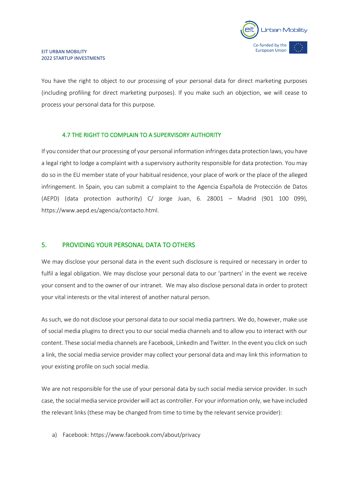

You have the right to object to our processing of your personal data for direct marketing purposes (including profiling for direct marketing purposes). If you make such an objection, we will cease to process your personal data for this purpose.

#### 4.7 THE RIGHT TO COMPLAIN TO A SUPERVISORY AUTHORITY

If you consider that our processing of your personal information infringes data protection laws, you have a legal right to lodge a complaint with a supervisory authority responsible for data protection. You may do so in the EU member state of your habitual residence, your place of work or the place of the alleged infringement. In Spain, you can submit a complaint to the Agencia Española de Protección de Datos (AEPD) (data protection authority) C/ Jorge Juan, 6. 28001 – Madrid (901 100 099), https://www.aepd.es/agencia/contacto.html.

#### 5. PROVIDING YOUR PERSONAL DATA TO OTHERS

We may disclose your personal data in the event such disclosure is required or necessary in order to fulfil a legal obligation. We may disclose your personal data to our 'partners' in the event we receive your consent and to the owner of our intranet. We may also disclose personal data in order to protect your vital interests or the vital interest of another natural person.

As such, we do not disclose your personal data to our social media partners. We do, however, make use of social media plugins to direct you to our social media channels and to allow you to interact with our content. These social media channels are Facebook, LinkedIn and Twitter. In the event you click on such a link, the social media service provider may collect your personal data and may link this information to your existing profile on such social media.

We are not responsible for the use of your personal data by such social media service provider. In such case, the social media service provider will act as controller. For your information only, we have included the relevant links (these may be changed from time to time by the relevant service provider):

a) Facebook: https://www.facebook.com/about/privacy